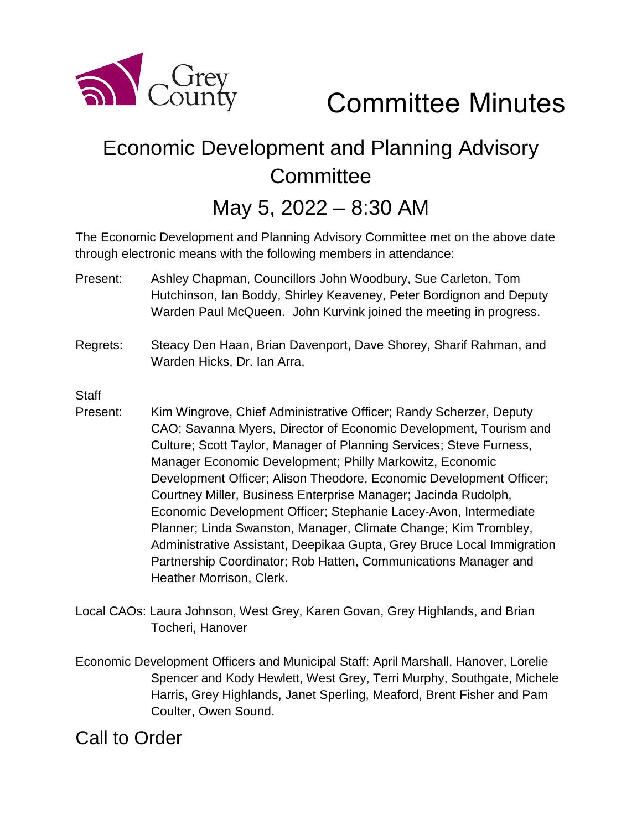

Committee Minutes

# Economic Development and Planning Advisory **Committee**

# May 5, 2022 – 8:30 AM

The Economic Development and Planning Advisory Committee met on the above date through electronic means with the following members in attendance:

- Present: Ashley Chapman, Councillors John Woodbury, Sue Carleton, Tom Hutchinson, Ian Boddy, Shirley Keaveney, Peter Bordignon and Deputy Warden Paul McQueen. John Kurvink joined the meeting in progress.
- Regrets: Steacy Den Haan, Brian Davenport, Dave Shorey, Sharif Rahman, and Warden Hicks, Dr. Ian Arra,

**Staff** 

- Present: Kim Wingrove, Chief Administrative Officer; Randy Scherzer, Deputy CAO; Savanna Myers, Director of Economic Development, Tourism and Culture; Scott Taylor, Manager of Planning Services; Steve Furness, Manager Economic Development; Philly Markowitz, Economic Development Officer; Alison Theodore, Economic Development Officer; Courtney Miller, Business Enterprise Manager; Jacinda Rudolph, Economic Development Officer; Stephanie Lacey-Avon, Intermediate Planner; Linda Swanston, Manager, Climate Change; Kim Trombley, Administrative Assistant, Deepikaa Gupta, Grey Bruce Local Immigration Partnership Coordinator; Rob Hatten, Communications Manager and Heather Morrison, Clerk.
- Local CAOs: Laura Johnson, West Grey, Karen Govan, Grey Highlands, and Brian Tocheri, Hanover
- Economic Development Officers and Municipal Staff: April Marshall, Hanover, Lorelie Spencer and Kody Hewlett, West Grey, Terri Murphy, Southgate, Michele Harris, Grey Highlands, Janet Sperling, Meaford, Brent Fisher and Pam Coulter, Owen Sound.

## Call to Order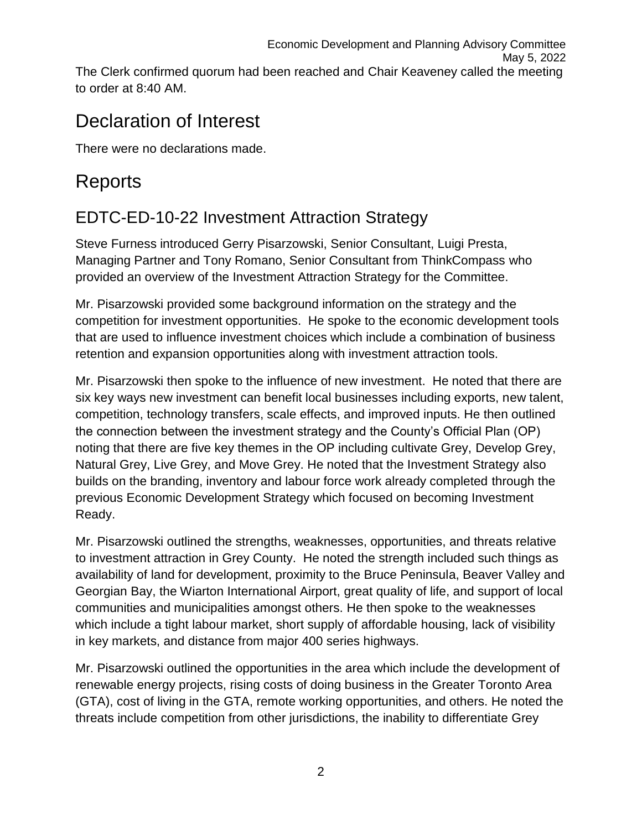## Declaration of Interest

There were no declarations made.

## **Reports**

## EDTC-ED-10-22 Investment Attraction Strategy

Steve Furness introduced Gerry Pisarzowski, Senior Consultant, Luigi Presta, Managing Partner and Tony Romano, Senior Consultant from ThinkCompass who provided an overview of the Investment Attraction Strategy for the Committee.

Mr. Pisarzowski provided some background information on the strategy and the competition for investment opportunities. He spoke to the economic development tools that are used to influence investment choices which include a combination of business retention and expansion opportunities along with investment attraction tools.

Mr. Pisarzowski then spoke to the influence of new investment. He noted that there are six key ways new investment can benefit local businesses including exports, new talent, competition, technology transfers, scale effects, and improved inputs. He then outlined the connection between the investment strategy and the County's Official Plan (OP) noting that there are five key themes in the OP including cultivate Grey, Develop Grey, Natural Grey, Live Grey, and Move Grey. He noted that the Investment Strategy also builds on the branding, inventory and labour force work already completed through the previous Economic Development Strategy which focused on becoming Investment Ready.

Mr. Pisarzowski outlined the strengths, weaknesses, opportunities, and threats relative to investment attraction in Grey County. He noted the strength included such things as availability of land for development, proximity to the Bruce Peninsula, Beaver Valley and Georgian Bay, the Wiarton International Airport, great quality of life, and support of local communities and municipalities amongst others. He then spoke to the weaknesses which include a tight labour market, short supply of affordable housing, lack of visibility in key markets, and distance from major 400 series highways.

Mr. Pisarzowski outlined the opportunities in the area which include the development of renewable energy projects, rising costs of doing business in the Greater Toronto Area (GTA), cost of living in the GTA, remote working opportunities, and others. He noted the threats include competition from other jurisdictions, the inability to differentiate Grey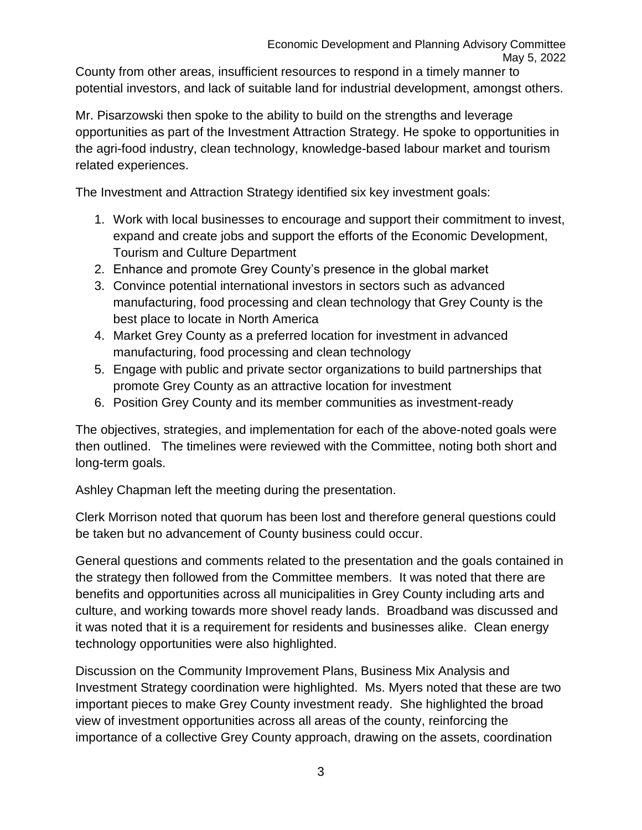County from other areas, insufficient resources to respond in a timely manner to potential investors, and lack of suitable land for industrial development, amongst others.

Mr. Pisarzowski then spoke to the ability to build on the strengths and leverage opportunities as part of the Investment Attraction Strategy. He spoke to opportunities in the agri-food industry, clean technology, knowledge-based labour market and tourism related experiences.

The Investment and Attraction Strategy identified six key investment goals:

- 1. Work with local businesses to encourage and support their commitment to invest, expand and create jobs and support the efforts of the Economic Development, Tourism and Culture Department
- 2. Enhance and promote Grey County's presence in the global market
- 3. Convince potential international investors in sectors such as advanced manufacturing, food processing and clean technology that Grey County is the best place to locate in North America
- 4. Market Grey County as a preferred location for investment in advanced manufacturing, food processing and clean technology
- 5. Engage with public and private sector organizations to build partnerships that promote Grey County as an attractive location for investment
- 6. Position Grey County and its member communities as investment-ready

The objectives, strategies, and implementation for each of the above-noted goals were then outlined. The timelines were reviewed with the Committee, noting both short and long-term goals.

Ashley Chapman left the meeting during the presentation.

Clerk Morrison noted that quorum has been lost and therefore general questions could be taken but no advancement of County business could occur.

General questions and comments related to the presentation and the goals contained in the strategy then followed from the Committee members. It was noted that there are benefits and opportunities across all municipalities in Grey County including arts and culture, and working towards more shovel ready lands. Broadband was discussed and it was noted that it is a requirement for residents and businesses alike. Clean energy technology opportunities were also highlighted.

Discussion on the Community Improvement Plans, Business Mix Analysis and Investment Strategy coordination were highlighted. Ms. Myers noted that these are two important pieces to make Grey County investment ready. She highlighted the broad view of investment opportunities across all areas of the county, reinforcing the importance of a collective Grey County approach, drawing on the assets, coordination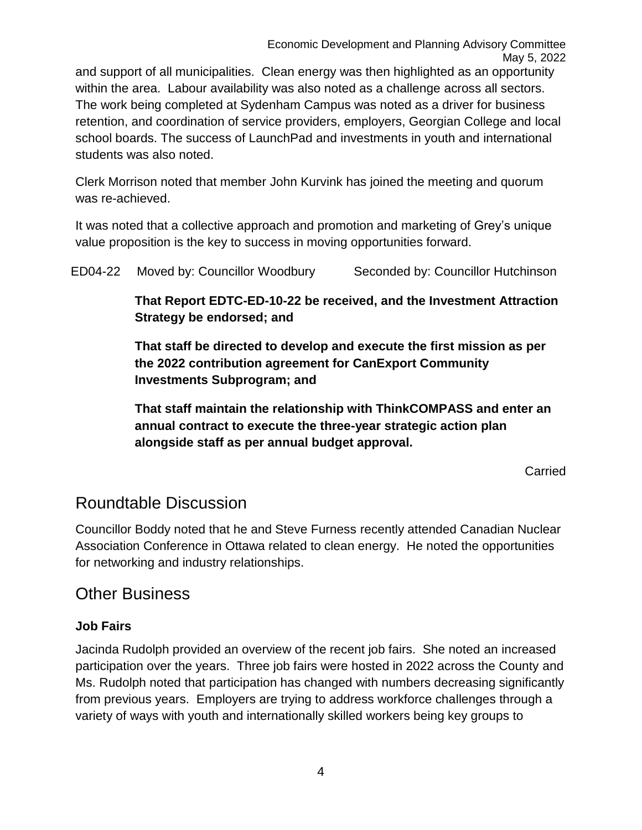and support of all municipalities. Clean energy was then highlighted as an opportunity within the area. Labour availability was also noted as a challenge across all sectors. The work being completed at Sydenham Campus was noted as a driver for business retention, and coordination of service providers, employers, Georgian College and local school boards. The success of LaunchPad and investments in youth and international students was also noted.

Clerk Morrison noted that member John Kurvink has joined the meeting and quorum was re-achieved.

It was noted that a collective approach and promotion and marketing of Grey's unique value proposition is the key to success in moving opportunities forward.

ED04-22 Moved by: Councillor Woodbury Seconded by: Councillor Hutchinson

**That Report EDTC-ED-10-22 be received, and the Investment Attraction Strategy be endorsed; and**

**That staff be directed to develop and execute the first mission as per the 2022 contribution agreement for CanExport Community Investments Subprogram; and** 

**That staff maintain the relationship with ThinkCOMPASS and enter an annual contract to execute the three-year strategic action plan alongside staff as per annual budget approval.** 

Carried

### Roundtable Discussion

Councillor Boddy noted that he and Steve Furness recently attended Canadian Nuclear Association Conference in Ottawa related to clean energy. He noted the opportunities for networking and industry relationships.

### Other Business

#### **Job Fairs**

Jacinda Rudolph provided an overview of the recent job fairs. She noted an increased participation over the years. Three job fairs were hosted in 2022 across the County and Ms. Rudolph noted that participation has changed with numbers decreasing significantly from previous years. Employers are trying to address workforce challenges through a variety of ways with youth and internationally skilled workers being key groups to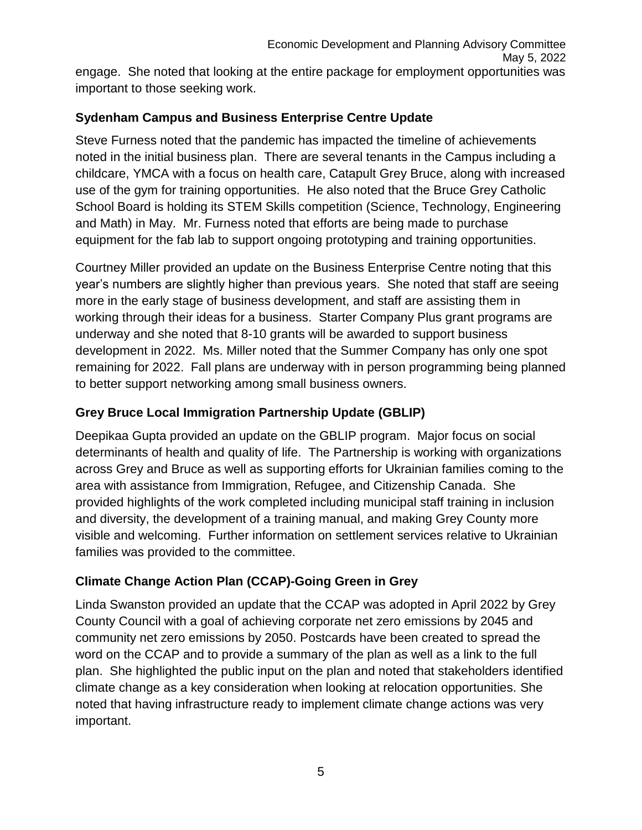#### **Sydenham Campus and Business Enterprise Centre Update**

Steve Furness noted that the pandemic has impacted the timeline of achievements noted in the initial business plan. There are several tenants in the Campus including a childcare, YMCA with a focus on health care, Catapult Grey Bruce, along with increased use of the gym for training opportunities. He also noted that the Bruce Grey Catholic School Board is holding its STEM Skills competition (Science, Technology, Engineering and Math) in May. Mr. Furness noted that efforts are being made to purchase equipment for the fab lab to support ongoing prototyping and training opportunities.

Courtney Miller provided an update on the Business Enterprise Centre noting that this year's numbers are slightly higher than previous years. She noted that staff are seeing more in the early stage of business development, and staff are assisting them in working through their ideas for a business. Starter Company Plus grant programs are underway and she noted that 8-10 grants will be awarded to support business development in 2022. Ms. Miller noted that the Summer Company has only one spot remaining for 2022. Fall plans are underway with in person programming being planned to better support networking among small business owners.

#### **Grey Bruce Local Immigration Partnership Update (GBLIP)**

Deepikaa Gupta provided an update on the GBLIP program. Major focus on social determinants of health and quality of life. The Partnership is working with organizations across Grey and Bruce as well as supporting efforts for Ukrainian families coming to the area with assistance from Immigration, Refugee, and Citizenship Canada. She provided highlights of the work completed including municipal staff training in inclusion and diversity, the development of a training manual, and making Grey County more visible and welcoming. Further information on settlement services relative to Ukrainian families was provided to the committee.

#### **Climate Change Action Plan (CCAP)-Going Green in Grey**

Linda Swanston provided an update that the CCAP was adopted in April 2022 by Grey County Council with a goal of achieving corporate net zero emissions by 2045 and community net zero emissions by 2050. Postcards have been created to spread the word on the CCAP and to provide a summary of the plan as well as a link to the full plan. She highlighted the public input on the plan and noted that stakeholders identified climate change as a key consideration when looking at relocation opportunities. She noted that having infrastructure ready to implement climate change actions was very important.